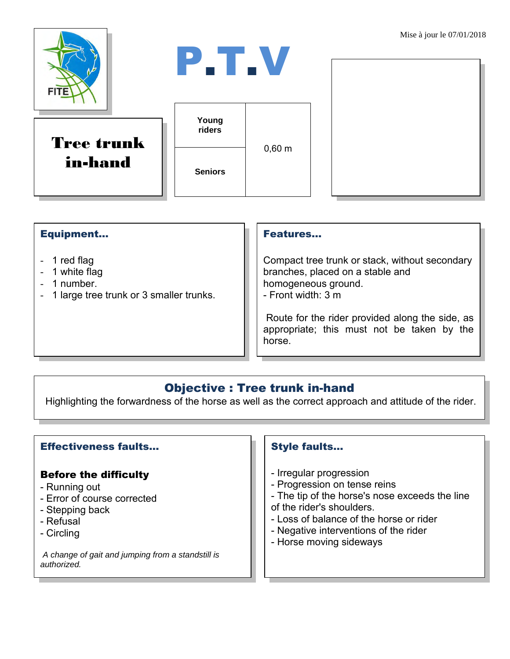

### Equipment...

- 1 red flag
- 1 white flag
- 1 number.
- 1 large tree trunk or 3 smaller trunks.

#### Features…

Compact tree trunk or stack, without secondary branches, placed on a stable and homogeneous ground. - Front width: 3 m

Route for the rider provided along the side, as appropriate; this must not be taken by the horse.

## Objective : Tree trunk in-hand

Highlighting the forwardness of the horse as well as the correct approach and attitude of the rider.

### Effectiveness faults…

### Before the difficulty

- Running out
- Error of course corrected
- Stepping back
- Refusal
- Circling

*A change of gait and jumping from a standstill is authorized.*

### Style faults…

- Irregular progression
- Progression on tense reins
- The tip of the horse's nose exceeds the line of the rider's shoulders.
- Loss of balance of the horse or rider
- Negative interventions of the rider
- Horse moving sideways